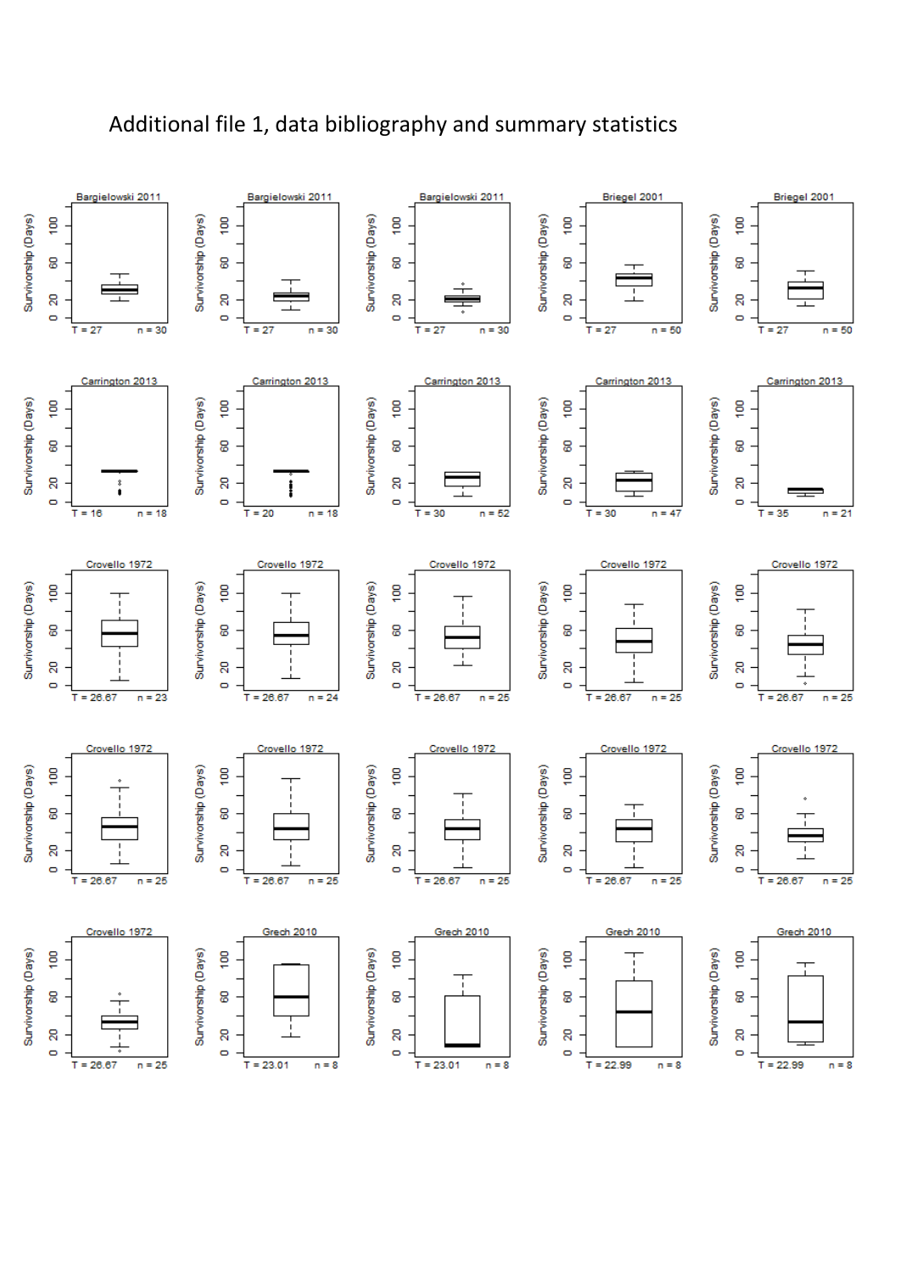

# Additional file 1, data bibliography and summary statistics

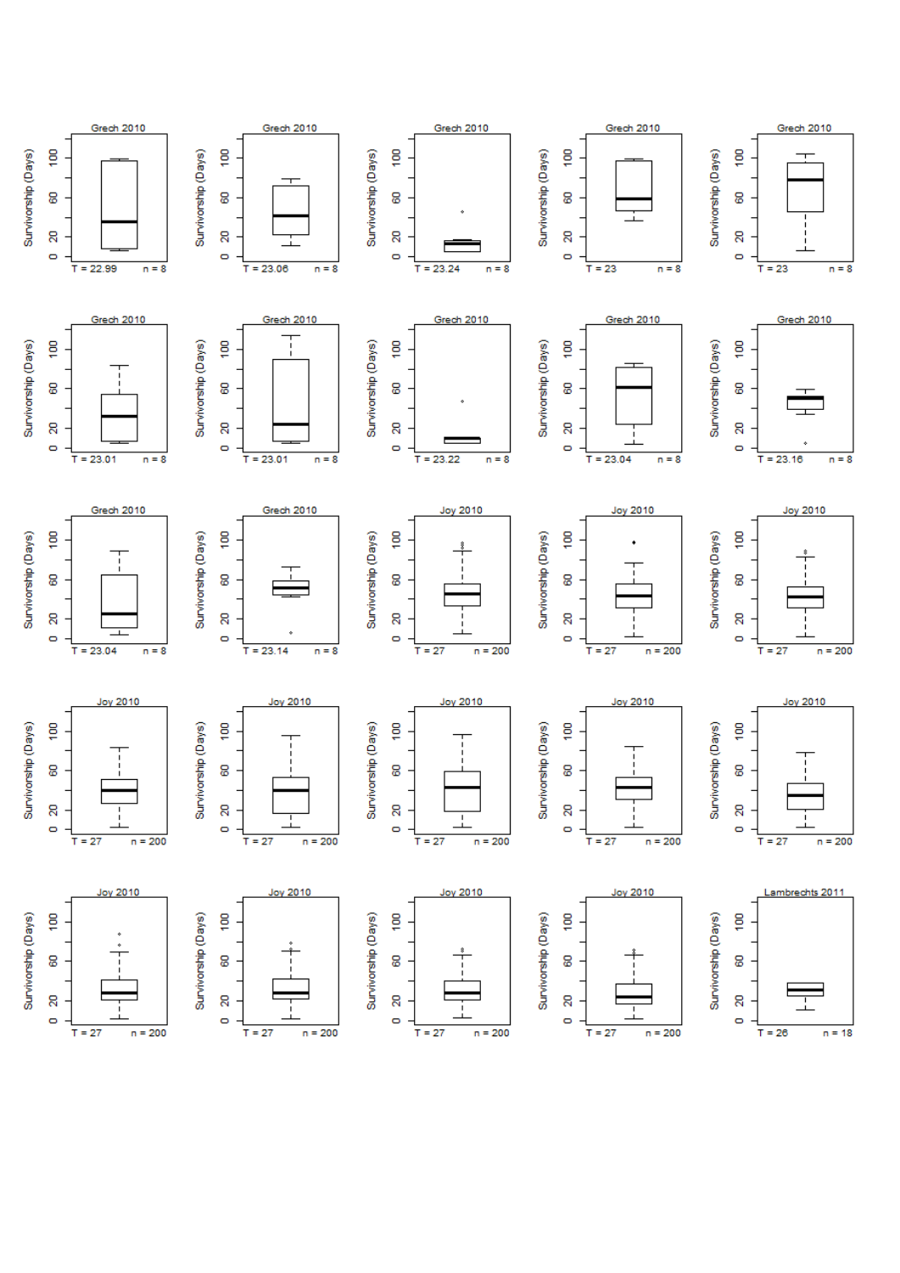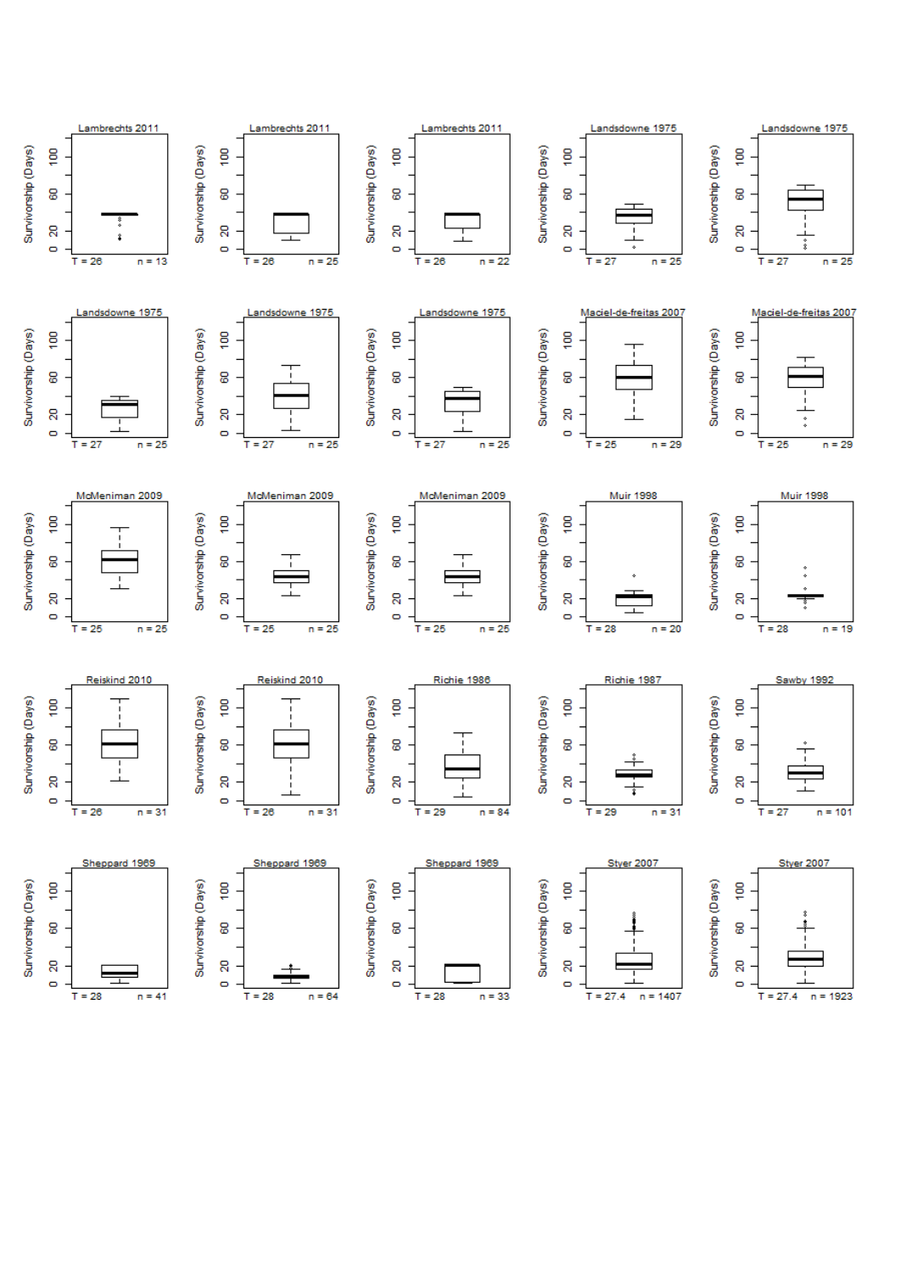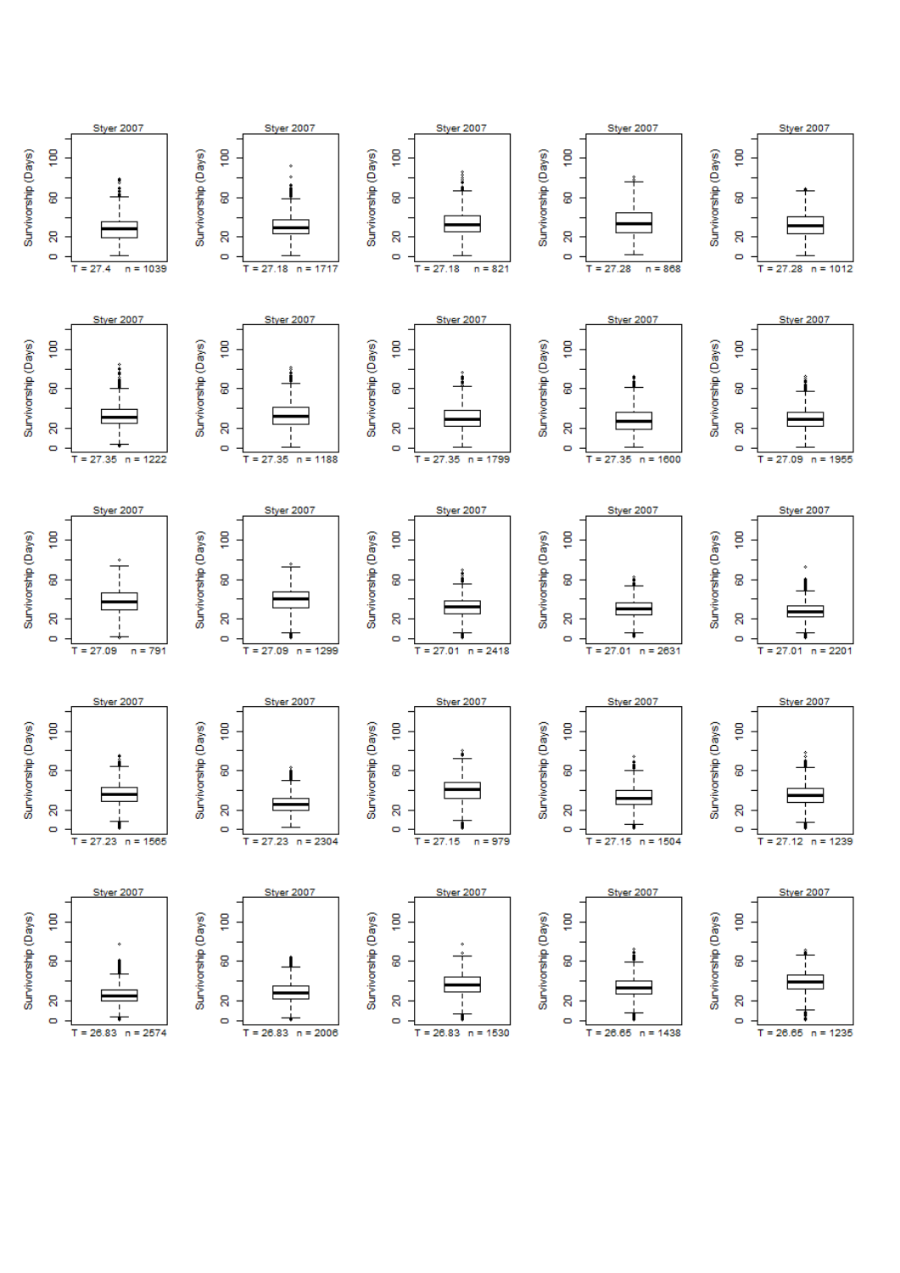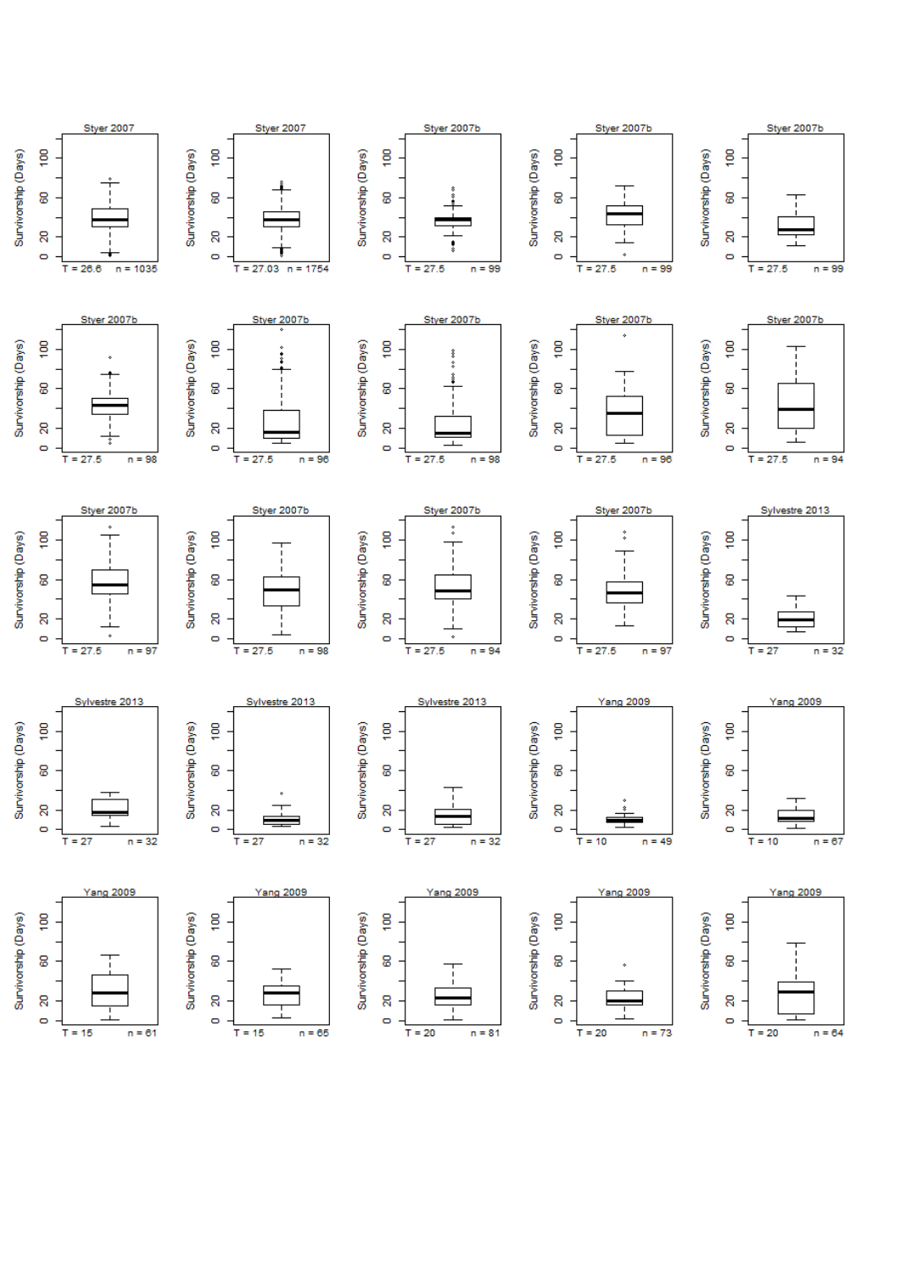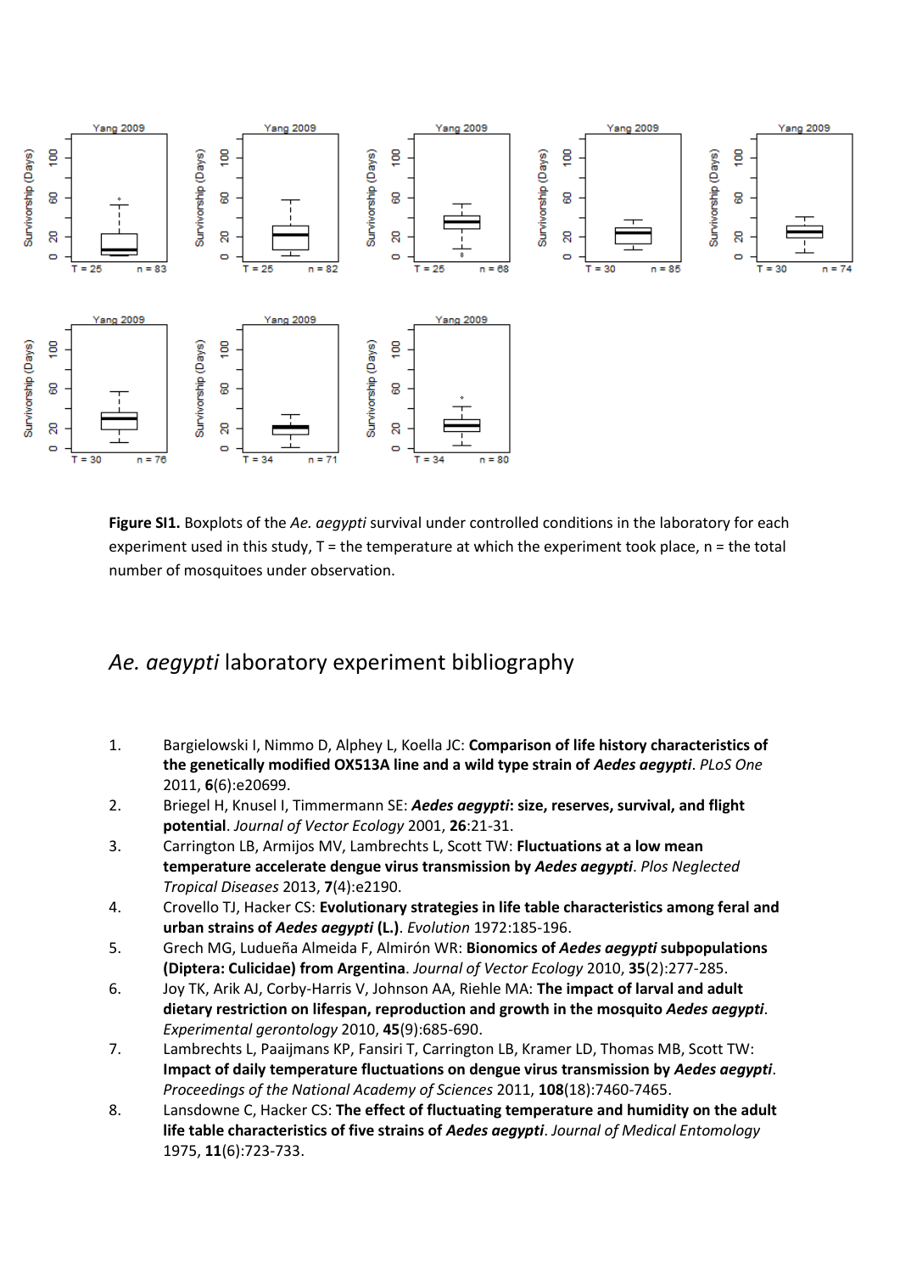

**Figure SI1.** Boxplots of the *Ae. aegypti* survival under controlled conditions in the laboratory for each experiment used in this study,  $T =$  the temperature at which the experiment took place,  $n =$  the total number of mosquitoes under observation.

### *Ae. aegypti* laboratory experiment bibliography

- 1. Bargielowski I, Nimmo D, Alphey L, Koella JC: **Comparison of life history characteristics of the genetically modified OX513A line and a wild type strain of** *Aedes aegypti*. *PLoS One*  2011, **6**(6):e20699.
- 2. Briegel H, Knusel I, Timmermann SE: *Aedes aegypti***: size, reserves, survival, and flight potential**. *Journal of Vector Ecology* 2001, **26**:21-31.
- 3. Carrington LB, Armijos MV, Lambrechts L, Scott TW: **Fluctuations at a low mean temperature accelerate dengue virus transmission by** *Aedes aegypti*. *Plos Neglected Tropical Diseases* 2013, **7**(4):e2190.
- 4. Crovello TJ, Hacker CS: **Evolutionary strategies in life table characteristics among feral and urban strains of** *Aedes aegypti* **(L.)**. *Evolution* 1972:185-196.
- 5. Grech MG, Ludueña Almeida F, Almirón WR: **Bionomics of** *Aedes aegypti* **subpopulations (Diptera: Culicidae) from Argentina**. *Journal of Vector Ecology* 2010, **35**(2):277-285.
- 6. Joy TK, Arik AJ, Corby-Harris V, Johnson AA, Riehle MA: **The impact of larval and adult dietary restriction on lifespan, reproduction and growth in the mosquito** *Aedes aegypti*. *Experimental gerontology* 2010, **45**(9):685-690.
- 7. Lambrechts L, Paaijmans KP, Fansiri T, Carrington LB, Kramer LD, Thomas MB, Scott TW: **Impact of daily temperature fluctuations on dengue virus transmission by** *Aedes aegypti*. *Proceedings of the National Academy of Sciences* 2011, **108**(18):7460-7465.
- 8. Lansdowne C, Hacker CS: **The effect of fluctuating temperature and humidity on the adult life table characteristics of five strains of** *Aedes aegypti*. *Journal of Medical Entomology*  1975, **11**(6):723-733.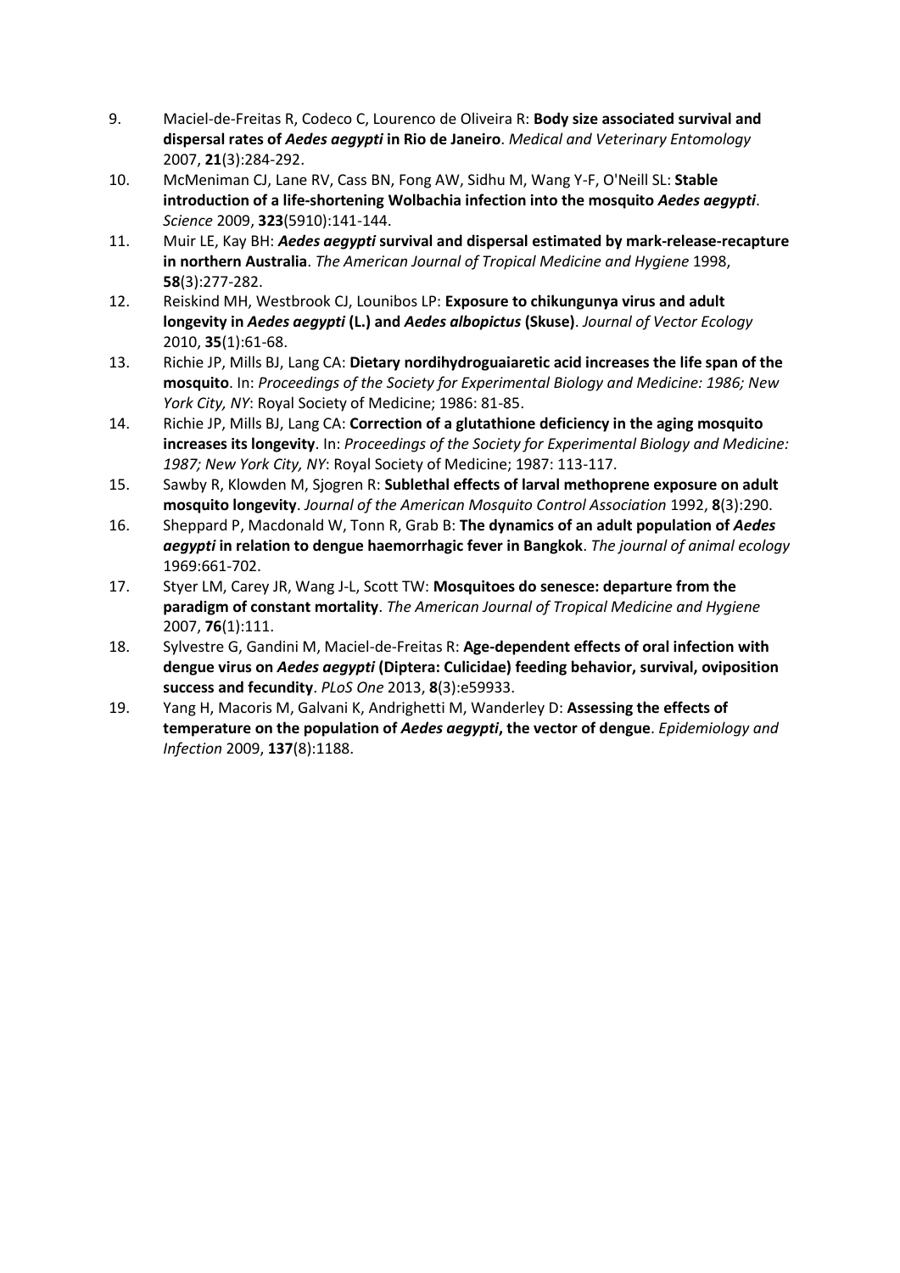- 9. Maciel-de-Freitas R, Codeco C, Lourenco de Oliveira R: **Body size associated survival and dispersal rates of** *Aedes aegypti* **in Rio de Janeiro**. *Medical and Veterinary Entomology*  2007, **21**(3):284-292.
- 10. McMeniman CJ, Lane RV, Cass BN, Fong AW, Sidhu M, Wang Y-F, O'Neill SL: **Stable introduction of a life-shortening Wolbachia infection into the mosquito** *Aedes aegypti*. *Science* 2009, **323**(5910):141-144.
- 11. Muir LE, Kay BH: *Aedes aegypti* **survival and dispersal estimated by mark-release-recapture in northern Australia**. *The American Journal of Tropical Medicine and Hygiene* 1998, **58**(3):277-282.
- 12. Reiskind MH, Westbrook CJ, Lounibos LP: **Exposure to chikungunya virus and adult longevity in** *Aedes aegypti* **(L.) and** *Aedes albopictus* **(Skuse)**. *Journal of Vector Ecology*  2010, **35**(1):61-68.
- 13. Richie JP, Mills BJ, Lang CA: **Dietary nordihydroguaiaretic acid increases the life span of the mosquito**. In: *Proceedings of the Society for Experimental Biology and Medicine: 1986; New York City, NY*: Royal Society of Medicine; 1986: 81-85.
- 14. Richie JP, Mills BJ, Lang CA: **Correction of a glutathione deficiency in the aging mosquito increases its longevity**. In: *Proceedings of the Society for Experimental Biology and Medicine: 1987; New York City, NY*: Royal Society of Medicine; 1987: 113-117.
- 15. Sawby R, Klowden M, Sjogren R: **Sublethal effects of larval methoprene exposure on adult mosquito longevity**. *Journal of the American Mosquito Control Association* 1992, **8**(3):290.
- 16. Sheppard P, Macdonald W, Tonn R, Grab B: **The dynamics of an adult population of** *Aedes aegypti* **in relation to dengue haemorrhagic fever in Bangkok**. *The journal of animal ecology*  1969:661-702.
- 17. Styer LM, Carey JR, Wang J-L, Scott TW: **Mosquitoes do senesce: departure from the paradigm of constant mortality**. *The American Journal of Tropical Medicine and Hygiene*  2007, **76**(1):111.
- 18. Sylvestre G, Gandini M, Maciel-de-Freitas R: **Age-dependent effects of oral infection with dengue virus on** *Aedes aegypti* **(Diptera: Culicidae) feeding behavior, survival, oviposition success and fecundity**. *PLoS One* 2013, **8**(3):e59933.
- 19. Yang H, Macoris M, Galvani K, Andrighetti M, Wanderley D: **Assessing the effects of temperature on the population of** *Aedes aegypti***, the vector of dengue**. *Epidemiology and Infection* 2009, **137**(8):1188.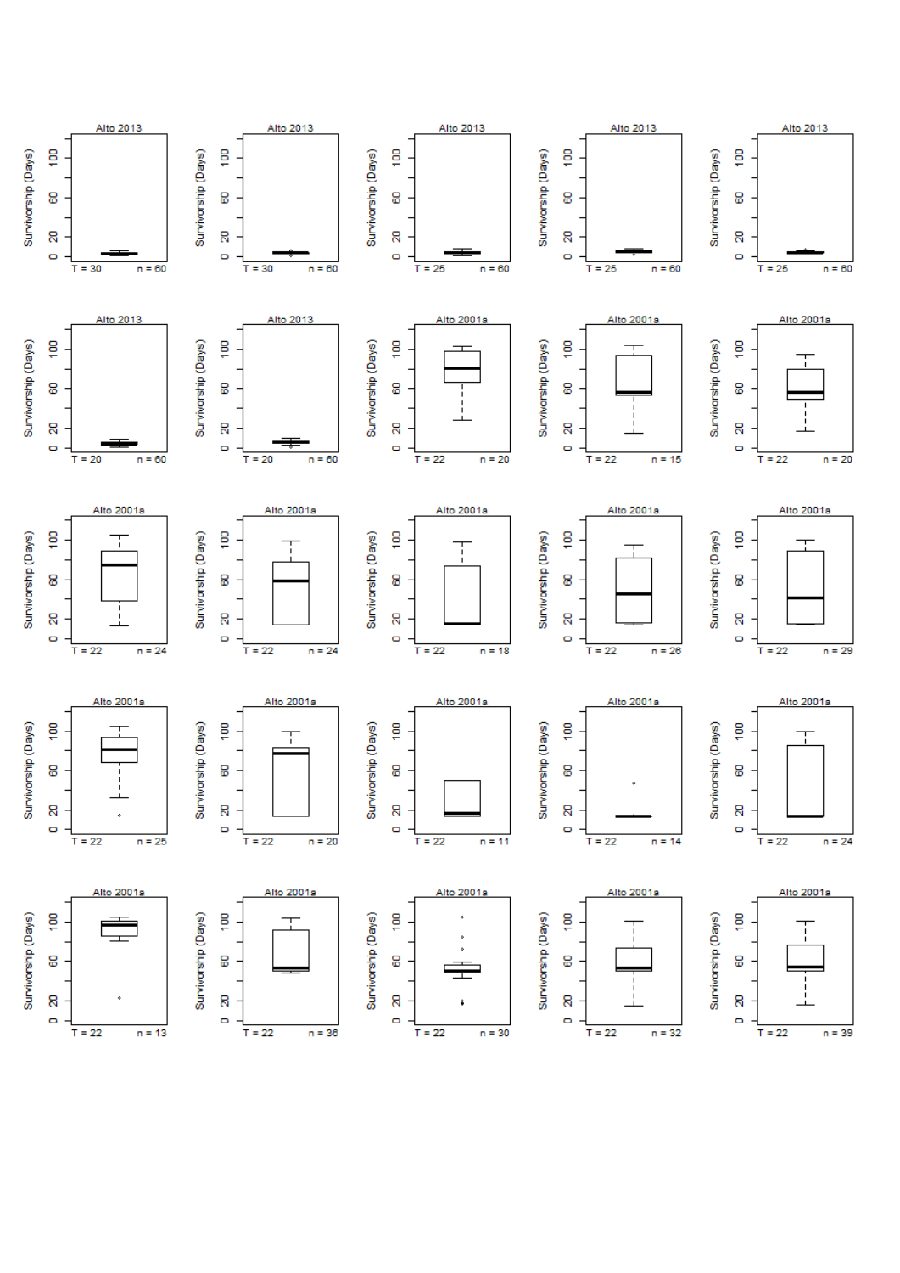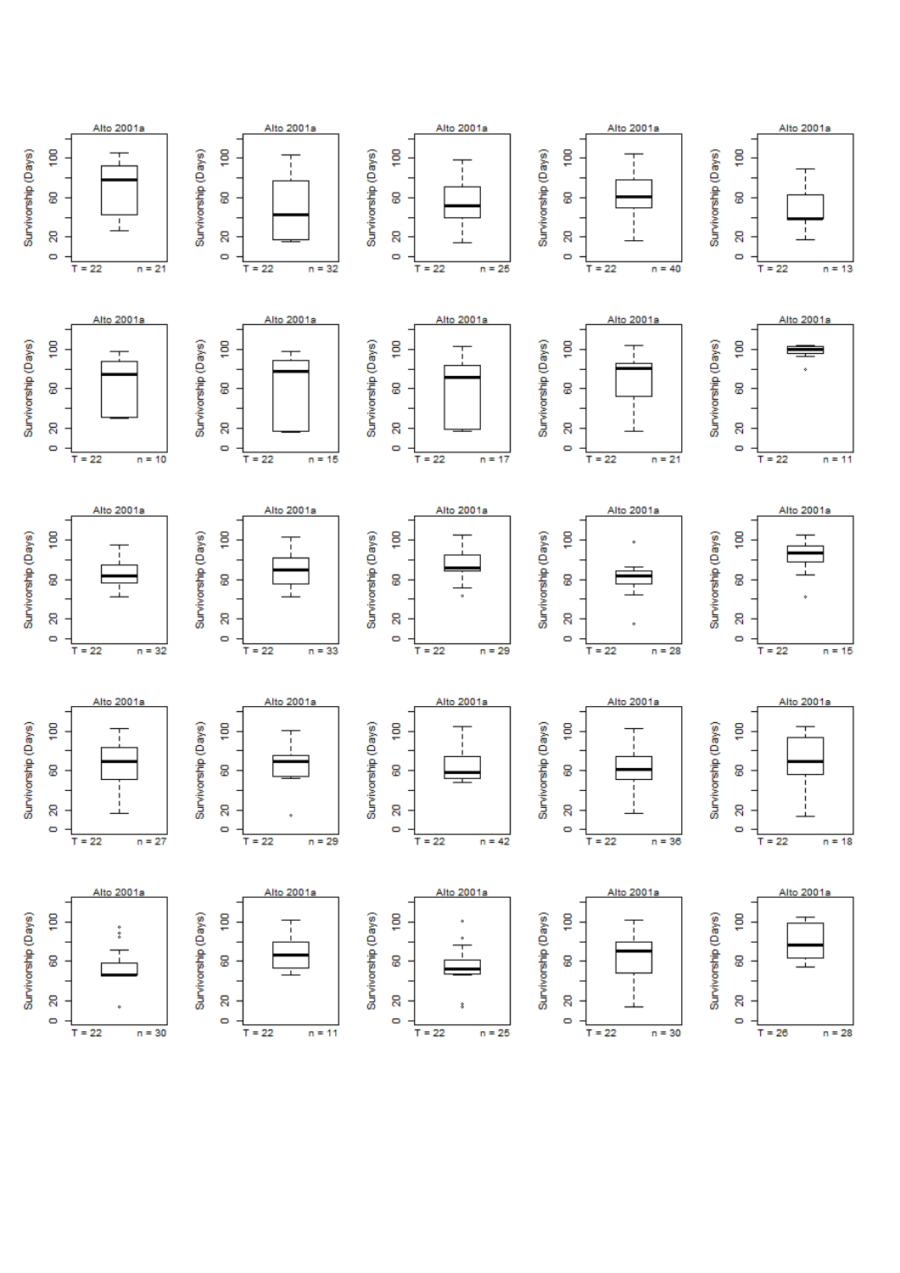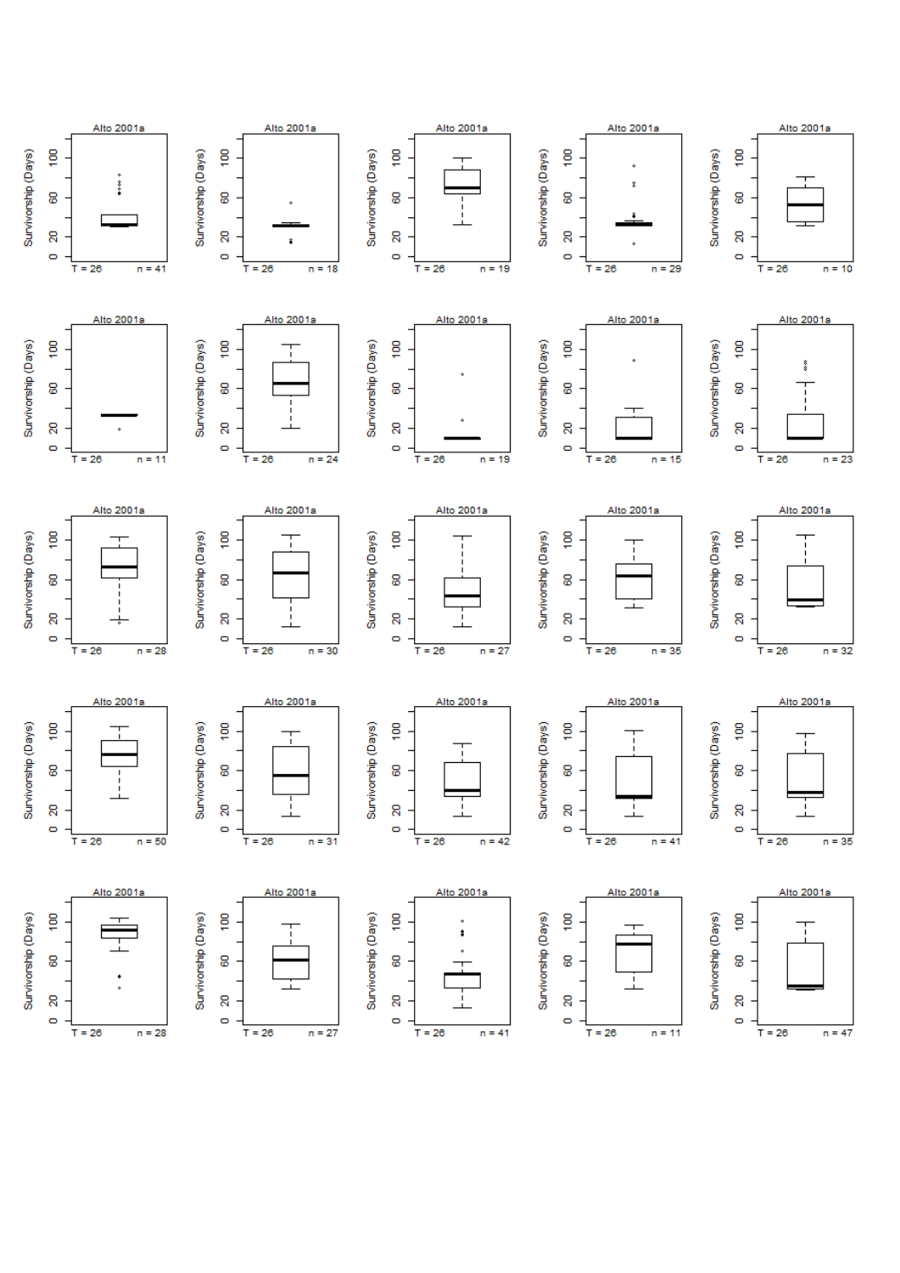

 $T = 26$ 

 $T = 26$ 

 $n = 28$ 

 $T = 26$ 

 $n = 27$ 

 $n = 41$ 



 $T = 26$ 

 $n = 47$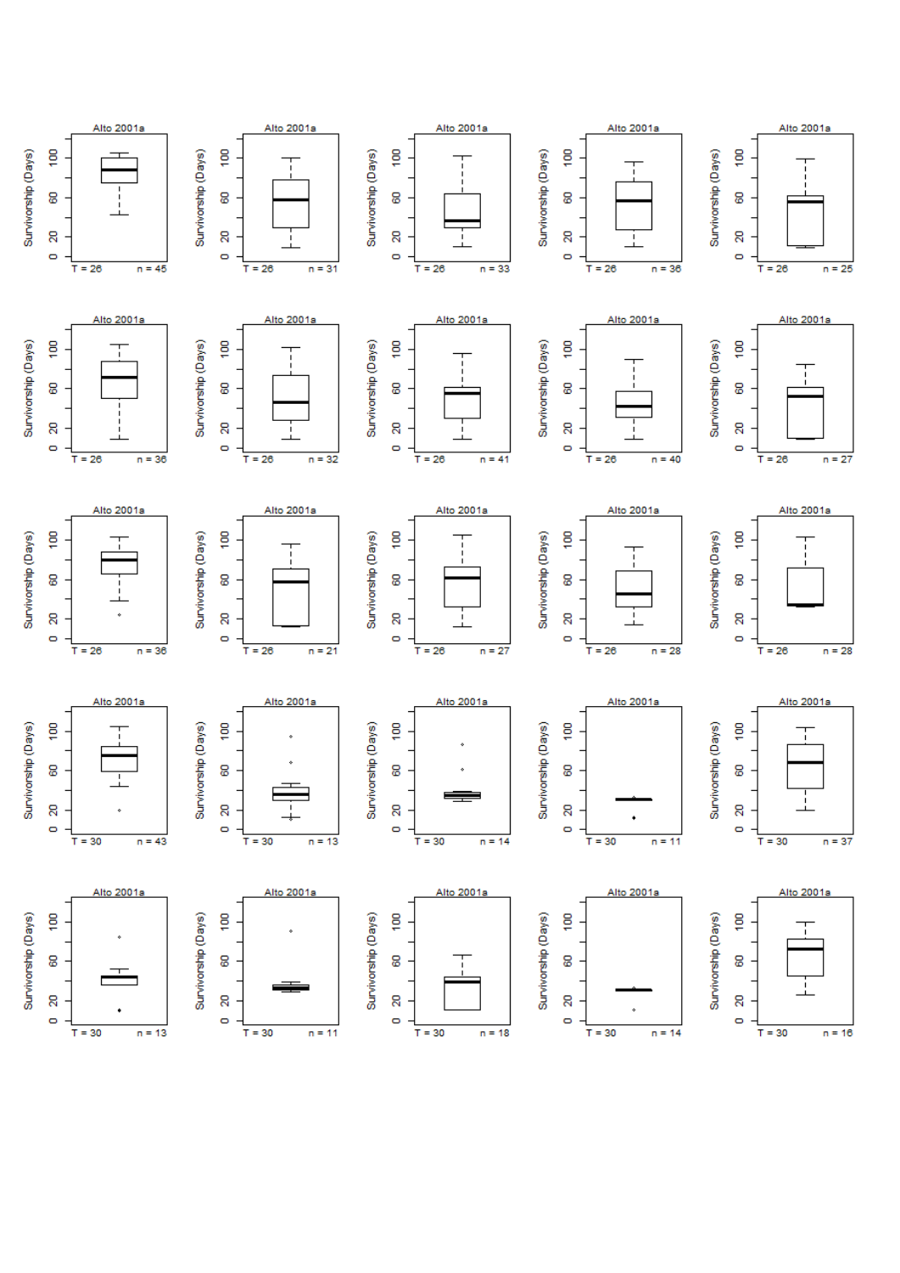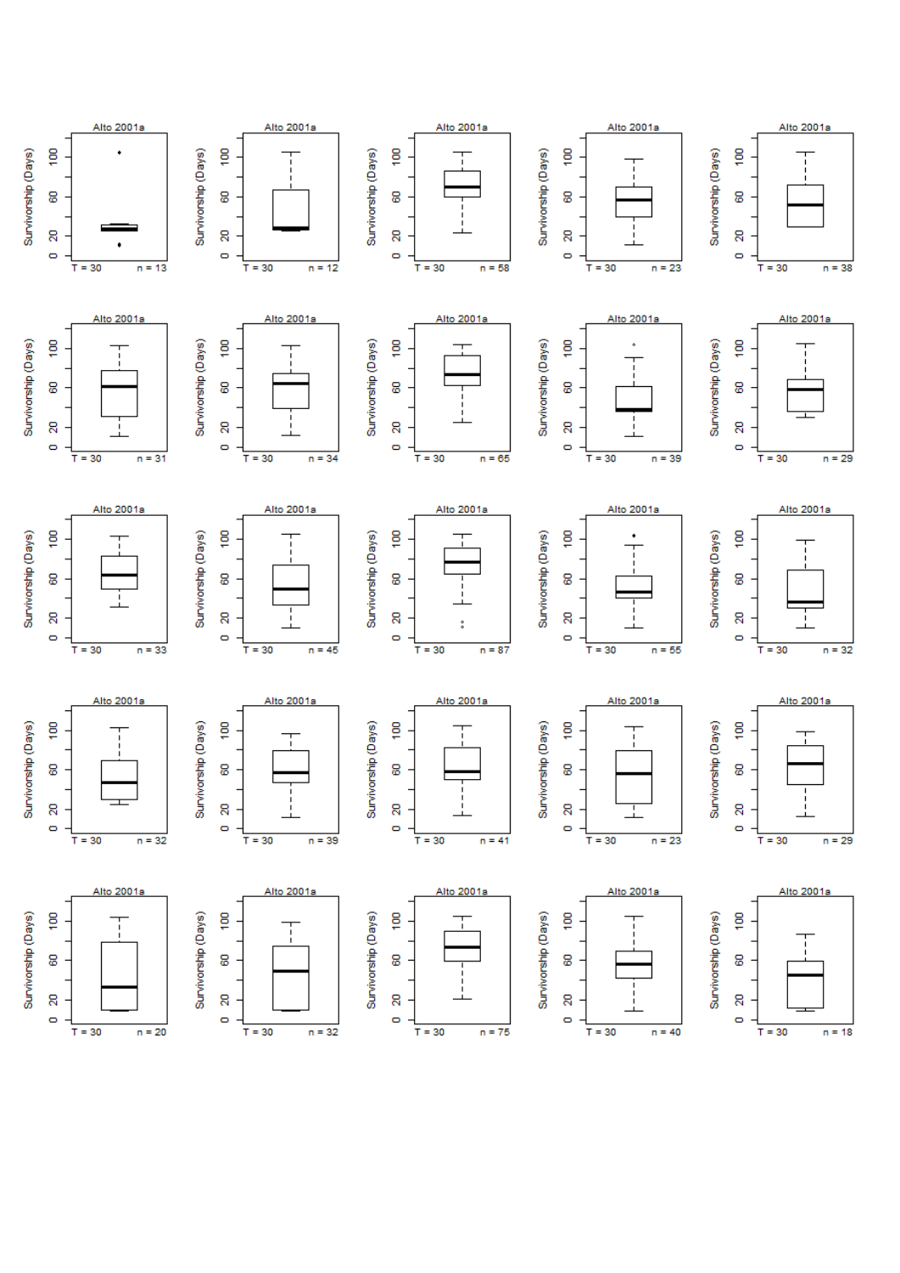

 $\bullet$ 

 $T = 30$ 

 $n = 75$ 

 $\circ$ 

 $T = 30$ 

 $n = 20$ 

 $\circ$ 

 $T = 30$ 

 $n = 32$ 

 $\circ$ 

 $T = 30$  $n = 40$   $\circ$ 

 $n = 18$ 

 $T = 30$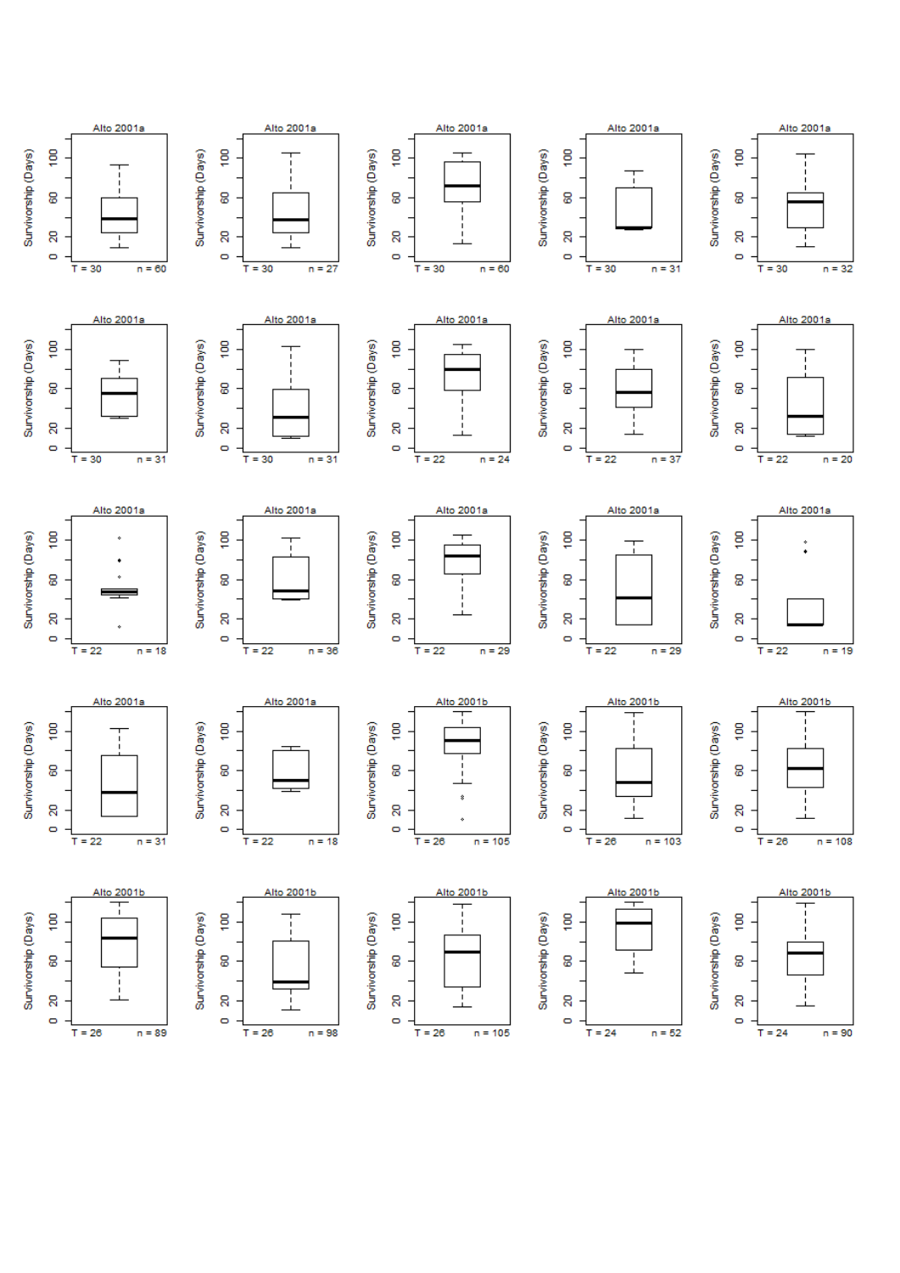

 $T = 26$ 

 $n = 105$ 

 $T = 26$ 

 $n = 89$ 

 $T = 26$ 

 $n = 98$ 

 $T = 24$ 

 $n = 52$ 

 $\circ$  $T = 24$  $n = 90$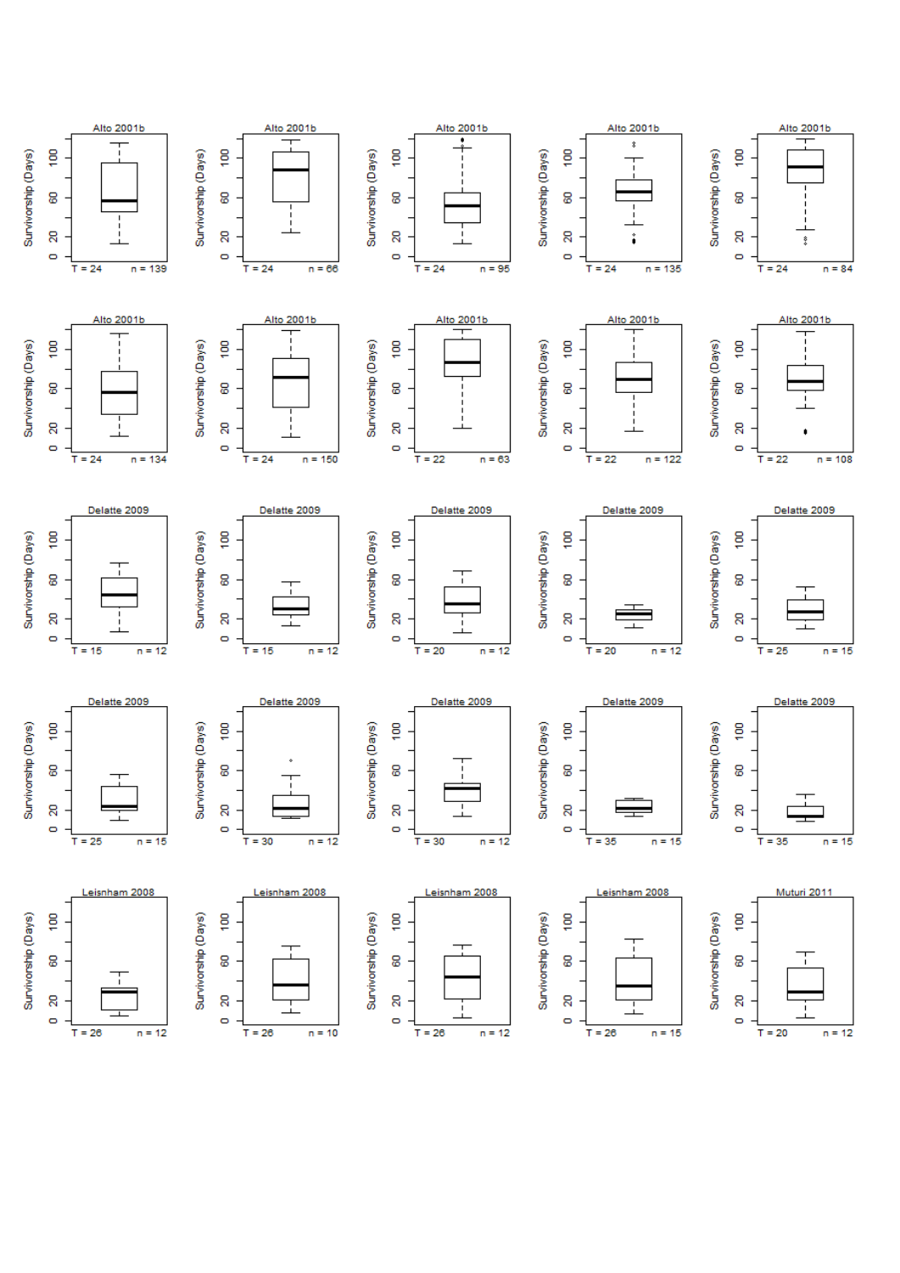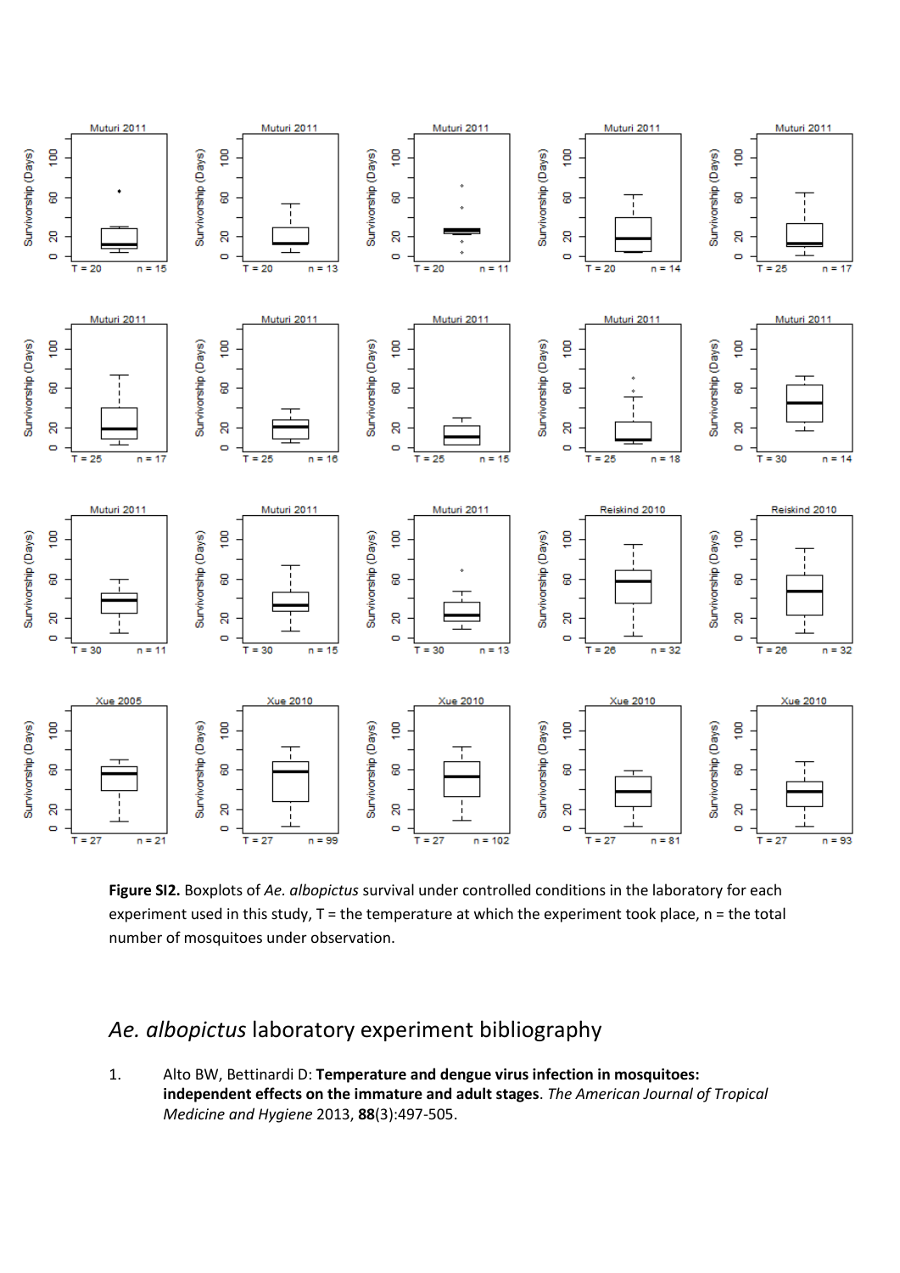

**Figure SI2.** Boxplots of *Ae. albopictus* survival under controlled conditions in the laboratory for each experiment used in this study, T = the temperature at which the experiment took place, n = the total number of mosquitoes under observation.

### *Ae. albopictus* laboratory experiment bibliography

1. Alto BW, Bettinardi D: **Temperature and dengue virus infection in mosquitoes: independent effects on the immature and adult stages**. *The American Journal of Tropical Medicine and Hygiene* 2013, **88**(3):497-505.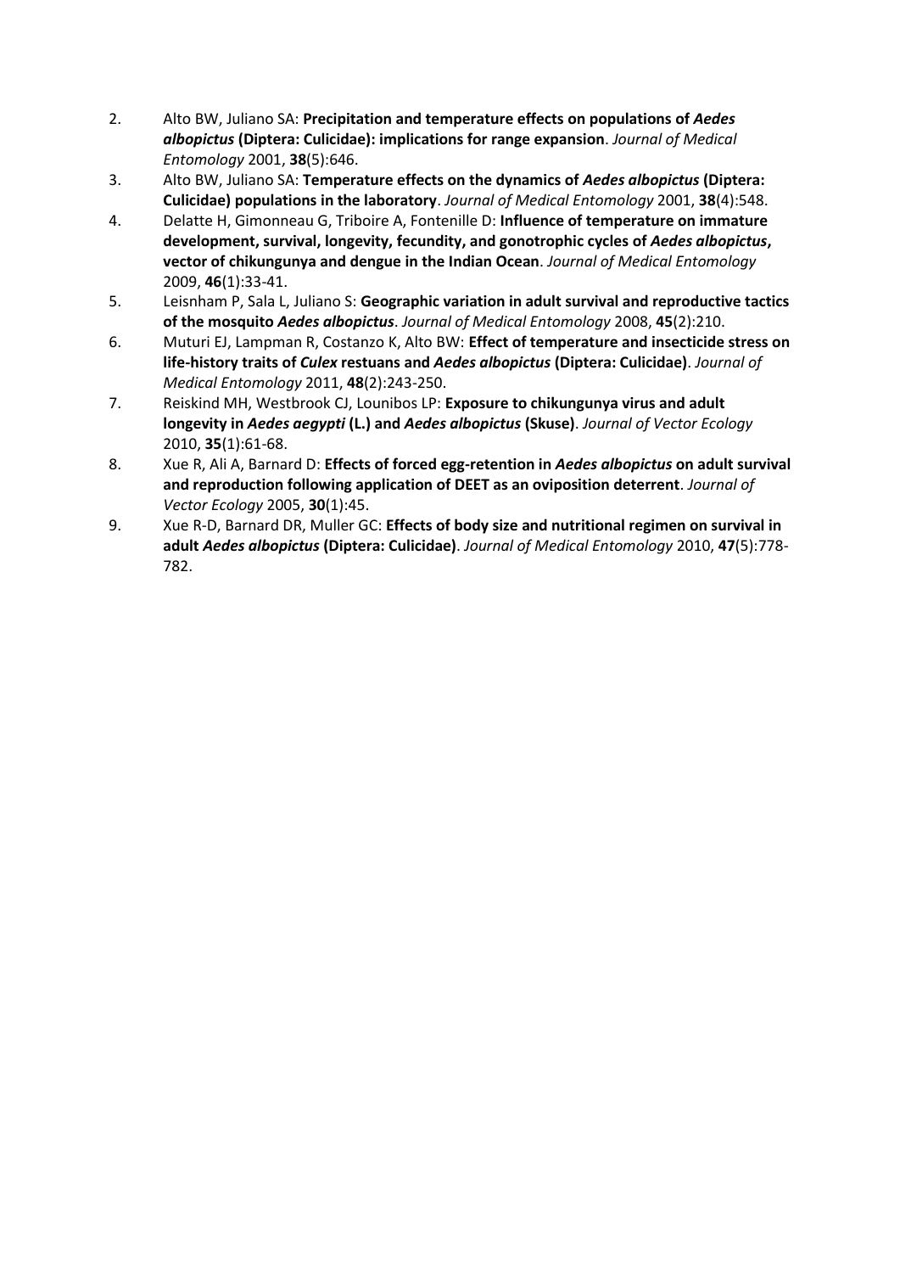- 2. Alto BW, Juliano SA: **Precipitation and temperature effects on populations of** *Aedes albopictus* **(Diptera: Culicidae): implications for range expansion**. *Journal of Medical Entomology* 2001, **38**(5):646.
- 3. Alto BW, Juliano SA: **Temperature effects on the dynamics of** *Aedes albopictus* **(Diptera: Culicidae) populations in the laboratory**. *Journal of Medical Entomology* 2001, **38**(4):548.
- 4. Delatte H, Gimonneau G, Triboire A, Fontenille D: **Influence of temperature on immature development, survival, longevity, fecundity, and gonotrophic cycles of** *Aedes albopictus***, vector of chikungunya and dengue in the Indian Ocean**. *Journal of Medical Entomology*  2009, **46**(1):33-41.
- 5. Leisnham P, Sala L, Juliano S: **Geographic variation in adult survival and reproductive tactics of the mosquito** *Aedes albopictus*. *Journal of Medical Entomology* 2008, **45**(2):210.
- 6. Muturi EJ, Lampman R, Costanzo K, Alto BW: **Effect of temperature and insecticide stress on life-history traits of** *Culex* **restuans and** *Aedes albopictus* **(Diptera: Culicidae)**. *Journal of Medical Entomology* 2011, **48**(2):243-250.
- 7. Reiskind MH, Westbrook CJ, Lounibos LP: **Exposure to chikungunya virus and adult longevity in** *Aedes aegypti* **(L.) and** *Aedes albopictus* **(Skuse)**. *Journal of Vector Ecology*  2010, **35**(1):61-68.
- 8. Xue R, Ali A, Barnard D: **Effects of forced egg-retention in** *Aedes albopictus* **on adult survival and reproduction following application of DEET as an oviposition deterrent**. *Journal of Vector Ecology* 2005, **30**(1):45.
- 9. Xue R-D, Barnard DR, Muller GC: **Effects of body size and nutritional regimen on survival in adult** *Aedes albopictus* **(Diptera: Culicidae)**. *Journal of Medical Entomology* 2010, **47**(5):778- 782.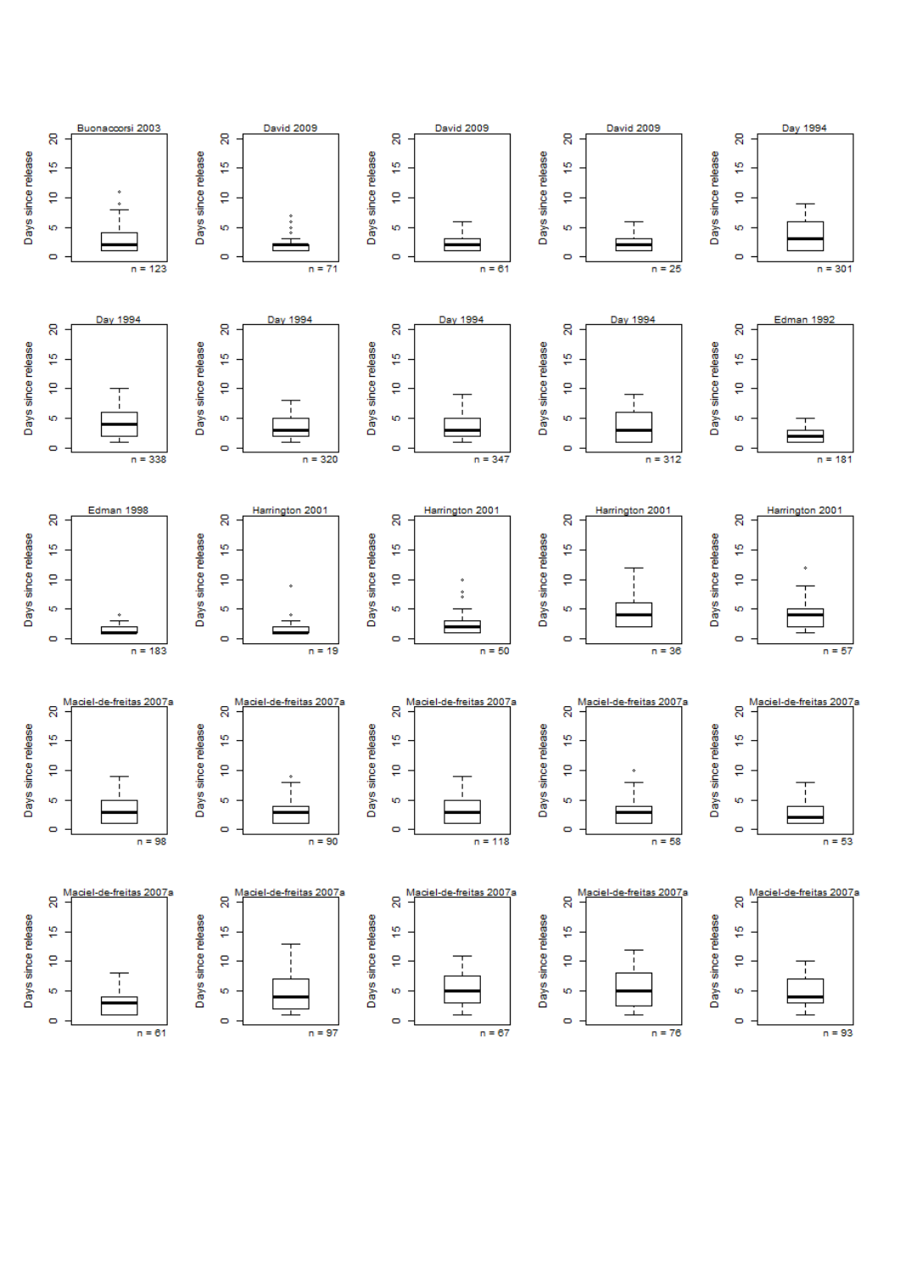

 $n = 61$ 

 $n = 76$ 

 $n = 93$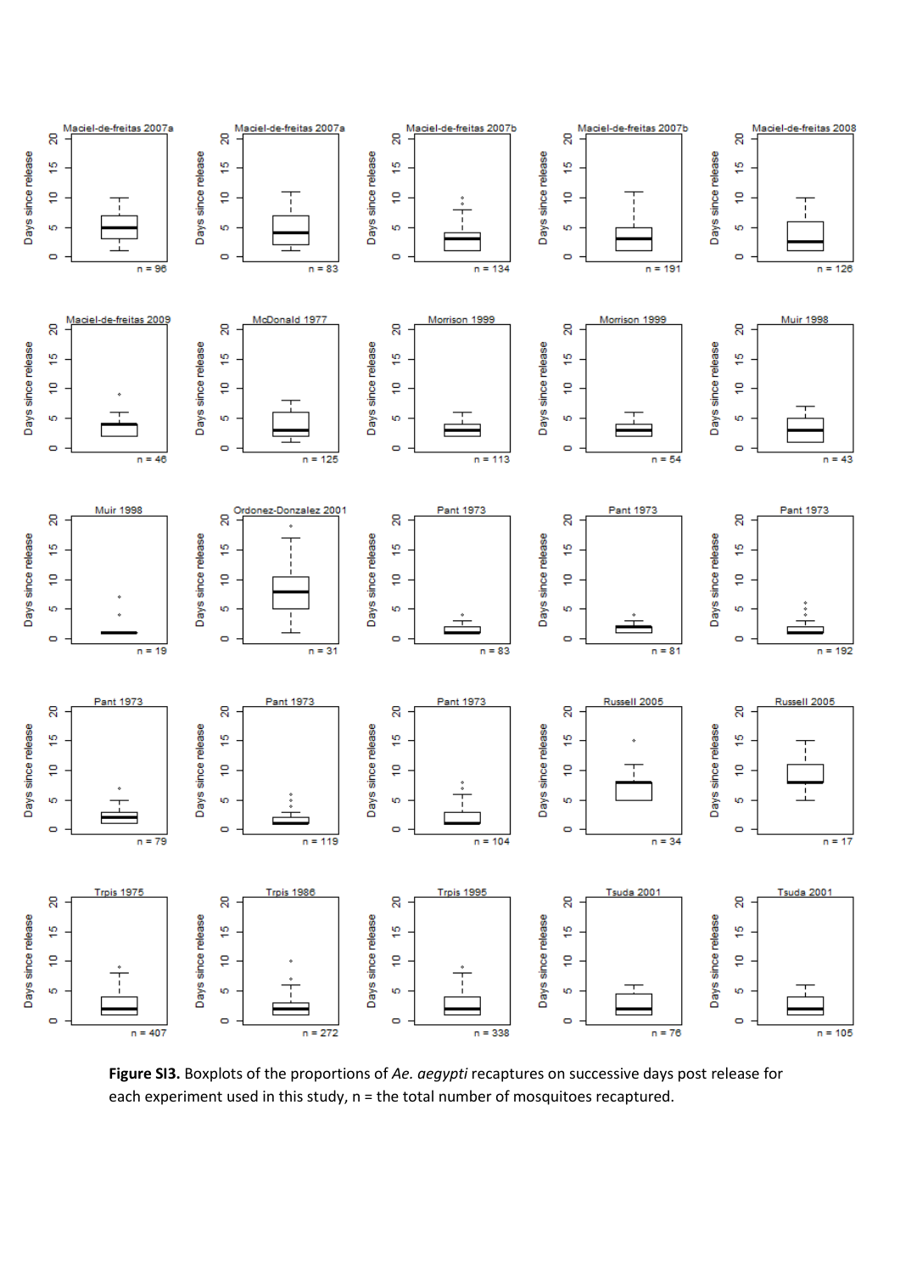

**Figure SI3.** Boxplots of the proportions of *Ae. aegypti* recaptures on successive days post release for each experiment used in this study, n = the total number of mosquitoes recaptured.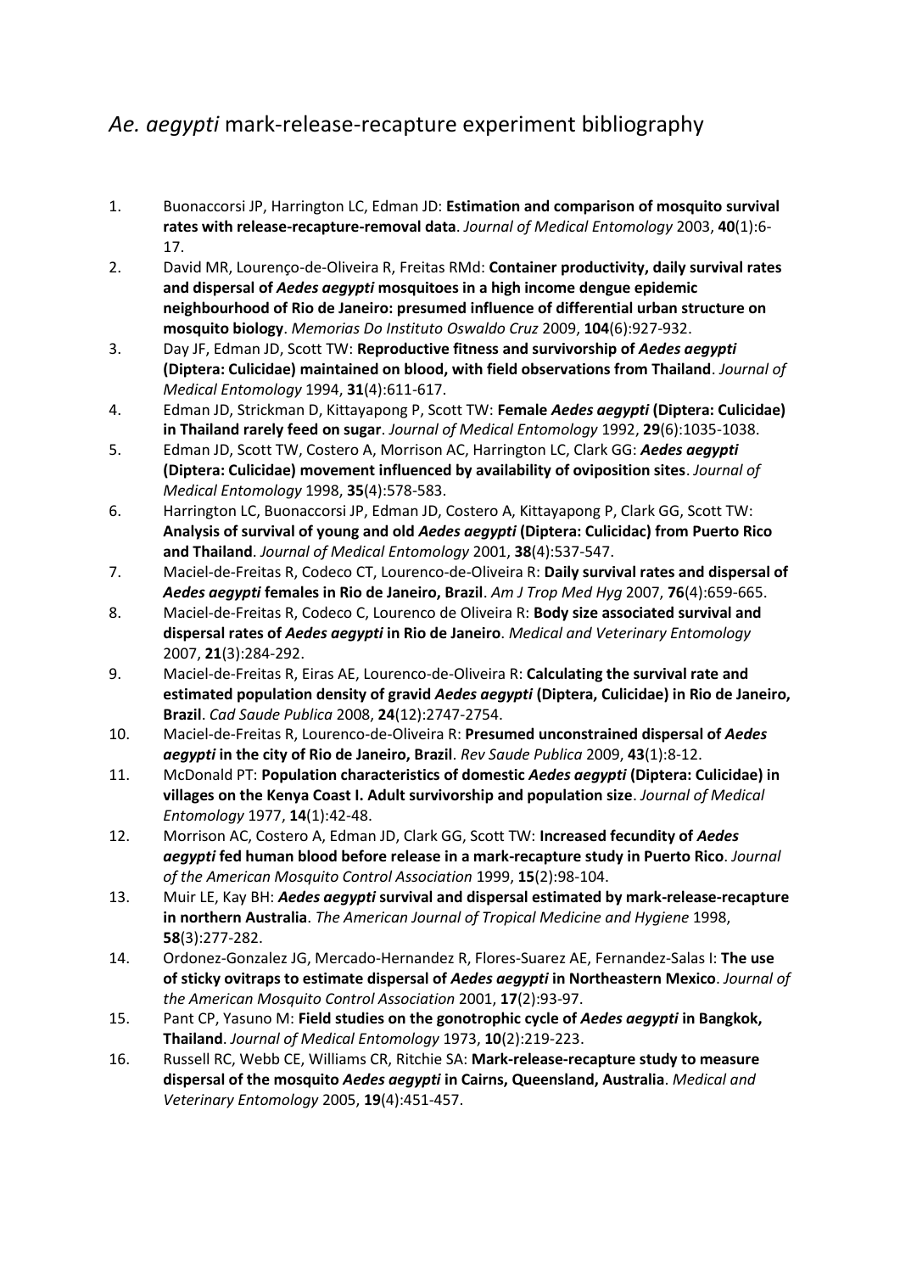## *Ae. aegypti* mark-release-recapture experiment bibliography

- 1. Buonaccorsi JP, Harrington LC, Edman JD: **Estimation and comparison of mosquito survival rates with release-recapture-removal data**. *Journal of Medical Entomology* 2003, **40**(1):6- 17.
- 2. David MR, Lourenço-de-Oliveira R, Freitas RMd: **Container productivity, daily survival rates and dispersal of** *Aedes aegypti* **mosquitoes in a high income dengue epidemic neighbourhood of Rio de Janeiro: presumed influence of differential urban structure on mosquito biology**. *Memorias Do Instituto Oswaldo Cruz* 2009, **104**(6):927-932.
- 3. Day JF, Edman JD, Scott TW: **Reproductive fitness and survivorship of** *Aedes aegypti* **(Diptera: Culicidae) maintained on blood, with field observations from Thailand**. *Journal of Medical Entomology* 1994, **31**(4):611-617.
- 4. Edman JD, Strickman D, Kittayapong P, Scott TW: **Female** *Aedes aegypti* **(Diptera: Culicidae) in Thailand rarely feed on sugar**. *Journal of Medical Entomology* 1992, **29**(6):1035-1038.
- 5. Edman JD, Scott TW, Costero A, Morrison AC, Harrington LC, Clark GG: *Aedes aegypti* **(Diptera: Culicidae) movement influenced by availability of oviposition sites**. *Journal of Medical Entomology* 1998, **35**(4):578-583.
- 6. Harrington LC, Buonaccorsi JP, Edman JD, Costero A, Kittayapong P, Clark GG, Scott TW: **Analysis of survival of young and old** *Aedes aegypti* **(Diptera: Culicidac) from Puerto Rico and Thailand**. *Journal of Medical Entomology* 2001, **38**(4):537-547.
- 7. Maciel-de-Freitas R, Codeco CT, Lourenco-de-Oliveira R: **Daily survival rates and dispersal of**  *Aedes aegypti* **females in Rio de Janeiro, Brazil**. *Am J Trop Med Hyg* 2007, **76**(4):659-665.
- 8. Maciel-de-Freitas R, Codeco C, Lourenco de Oliveira R: **Body size associated survival and dispersal rates of** *Aedes aegypti* **in Rio de Janeiro**. *Medical and Veterinary Entomology*  2007, **21**(3):284-292.
- 9. Maciel-de-Freitas R, Eiras AE, Lourenco-de-Oliveira R: **Calculating the survival rate and estimated population density of gravid** *Aedes aegypti* **(Diptera, Culicidae) in Rio de Janeiro, Brazil**. *Cad Saude Publica* 2008, **24**(12):2747-2754.
- 10. Maciel-de-Freitas R, Lourenco-de-Oliveira R: **Presumed unconstrained dispersal of** *Aedes aegypti* **in the city of Rio de Janeiro, Brazil**. *Rev Saude Publica* 2009, **43**(1):8-12.
- 11. McDonald PT: **Population characteristics of domestic** *Aedes aegypti* **(Diptera: Culicidae) in villages on the Kenya Coast I. Adult survivorship and population size**. *Journal of Medical Entomology* 1977, **14**(1):42-48.
- 12. Morrison AC, Costero A, Edman JD, Clark GG, Scott TW: **Increased fecundity of** *Aedes aegypti* **fed human blood before release in a mark-recapture study in Puerto Rico**. *Journal of the American Mosquito Control Association* 1999, **15**(2):98-104.
- 13. Muir LE, Kay BH: *Aedes aegypti* **survival and dispersal estimated by mark-release-recapture in northern Australia**. *The American Journal of Tropical Medicine and Hygiene* 1998, **58**(3):277-282.
- 14. Ordonez-Gonzalez JG, Mercado-Hernandez R, Flores-Suarez AE, Fernandez-Salas I: **The use of sticky ovitraps to estimate dispersal of** *Aedes aegypti* **in Northeastern Mexico**. *Journal of the American Mosquito Control Association* 2001, **17**(2):93-97.
- 15. Pant CP, Yasuno M: **Field studies on the gonotrophic cycle of** *Aedes aegypti* **in Bangkok, Thailand**. *Journal of Medical Entomology* 1973, **10**(2):219-223.
- 16. Russell RC, Webb CE, Williams CR, Ritchie SA: **Mark-release-recapture study to measure dispersal of the mosquito** *Aedes aegypti* **in Cairns, Queensland, Australia**. *Medical and Veterinary Entomology* 2005, **19**(4):451-457.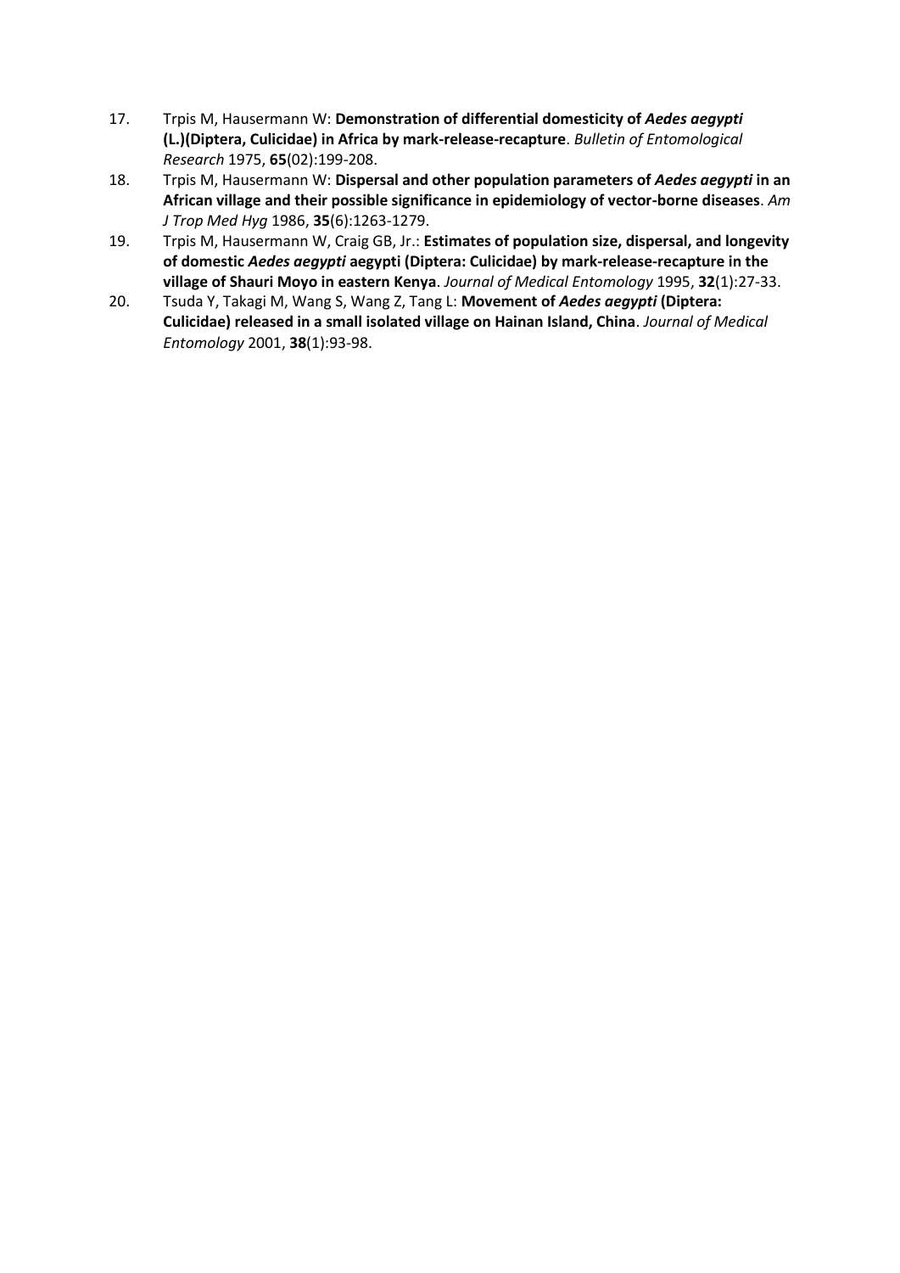- 17. Trpis M, Hausermann W: **Demonstration of differential domesticity of** *Aedes aegypti* **(L.)(Diptera, Culicidae) in Africa by mark-release-recapture**. *Bulletin of Entomological Research* 1975, **65**(02):199-208.
- 18. Trpis M, Hausermann W: **Dispersal and other population parameters of** *Aedes aegypti* **in an African village and their possible significance in epidemiology of vector-borne diseases**. *Am J Trop Med Hyg* 1986, **35**(6):1263-1279.
- 19. Trpis M, Hausermann W, Craig GB, Jr.: **Estimates of population size, dispersal, and longevity of domestic** *Aedes aegypti* **aegypti (Diptera: Culicidae) by mark-release-recapture in the village of Shauri Moyo in eastern Kenya**. *Journal of Medical Entomology* 1995, **32**(1):27-33.
- 20. Tsuda Y, Takagi M, Wang S, Wang Z, Tang L: **Movement of** *Aedes aegypti* **(Diptera: Culicidae) released in a small isolated village on Hainan Island, China**. *Journal of Medical Entomology* 2001, **38**(1):93-98.